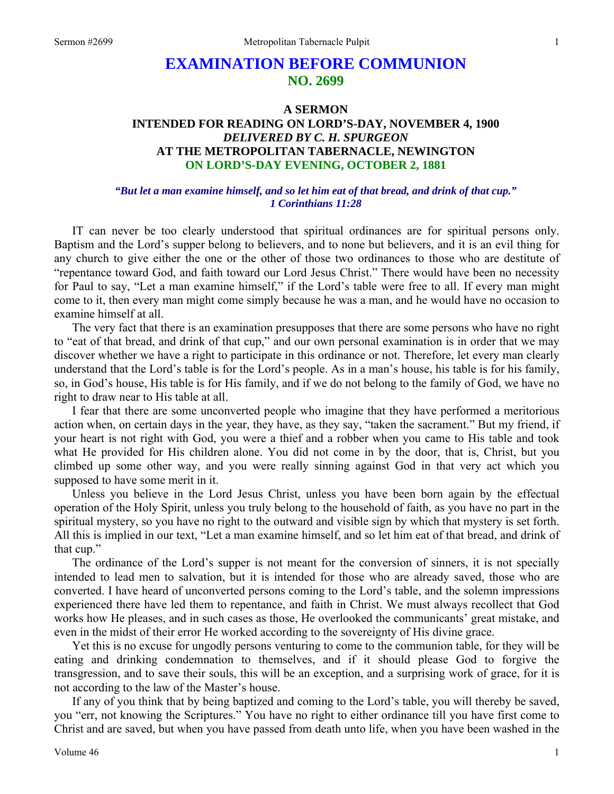# **EXAMINATION BEFORE COMMUNION NO. 2699**

## **A SERMON INTENDED FOR READING ON LORD'S-DAY, NOVEMBER 4, 1900**  *DELIVERED BY C. H. SPURGEON*  **AT THE METROPOLITAN TABERNACLE, NEWINGTON ON LORD'S-DAY EVENING, OCTOBER 2, 1881**

### *"But let a man examine himself, and so let him eat of that bread, and drink of that cup." 1 Corinthians 11:28*

IT can never be too clearly understood that spiritual ordinances are for spiritual persons only. Baptism and the Lord's supper belong to believers, and to none but believers, and it is an evil thing for any church to give either the one or the other of those two ordinances to those who are destitute of "repentance toward God, and faith toward our Lord Jesus Christ." There would have been no necessity for Paul to say, "Let a man examine himself," if the Lord's table were free to all. If every man might come to it, then every man might come simply because he was a man, and he would have no occasion to examine himself at all.

The very fact that there is an examination presupposes that there are some persons who have no right to "eat of that bread, and drink of that cup," and our own personal examination is in order that we may discover whether we have a right to participate in this ordinance or not. Therefore, let every man clearly understand that the Lord's table is for the Lord's people. As in a man's house, his table is for his family, so, in God's house, His table is for His family, and if we do not belong to the family of God, we have no right to draw near to His table at all.

I fear that there are some unconverted people who imagine that they have performed a meritorious action when, on certain days in the year, they have, as they say, "taken the sacrament." But my friend, if your heart is not right with God, you were a thief and a robber when you came to His table and took what He provided for His children alone. You did not come in by the door, that is, Christ, but you climbed up some other way, and you were really sinning against God in that very act which you supposed to have some merit in it.

Unless you believe in the Lord Jesus Christ, unless you have been born again by the effectual operation of the Holy Spirit, unless you truly belong to the household of faith, as you have no part in the spiritual mystery, so you have no right to the outward and visible sign by which that mystery is set forth. All this is implied in our text, "Let a man examine himself, and so let him eat of that bread, and drink of that cup."

The ordinance of the Lord's supper is not meant for the conversion of sinners, it is not specially intended to lead men to salvation, but it is intended for those who are already saved, those who are converted. I have heard of unconverted persons coming to the Lord's table, and the solemn impressions experienced there have led them to repentance, and faith in Christ. We must always recollect that God works how He pleases, and in such cases as those, He overlooked the communicants' great mistake, and even in the midst of their error He worked according to the sovereignty of His divine grace.

Yet this is no excuse for ungodly persons venturing to come to the communion table, for they will be eating and drinking condemnation to themselves, and if it should please God to forgive the transgression, and to save their souls, this will be an exception, and a surprising work of grace, for it is not according to the law of the Master's house.

If any of you think that by being baptized and coming to the Lord's table, you will thereby be saved, you "err, not knowing the Scriptures." You have no right to either ordinance till you have first come to Christ and are saved, but when you have passed from death unto life, when you have been washed in the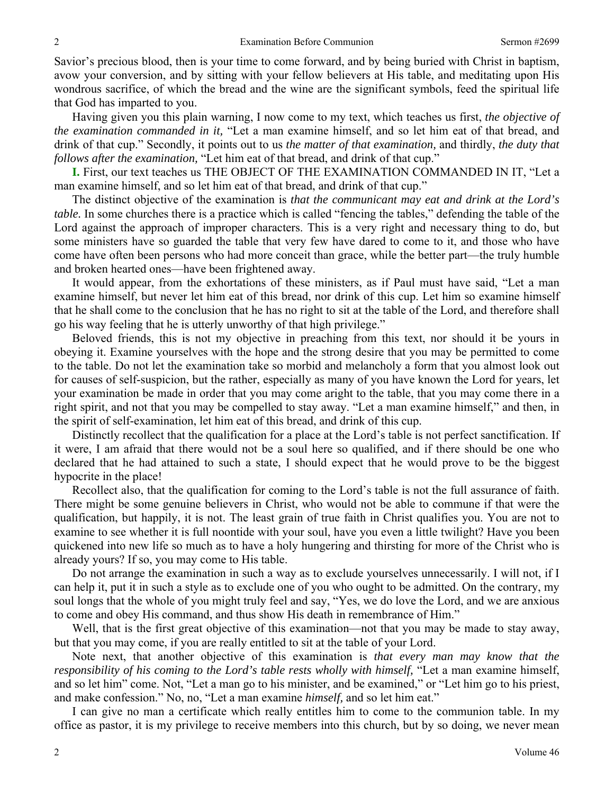Savior's precious blood, then is your time to come forward, and by being buried with Christ in baptism, avow your conversion, and by sitting with your fellow believers at His table, and meditating upon His wondrous sacrifice, of which the bread and the wine are the significant symbols, feed the spiritual life that God has imparted to you.

Having given you this plain warning, I now come to my text, which teaches us first, *the objective of the examination commanded in it,* "Let a man examine himself, and so let him eat of that bread, and drink of that cup." Secondly, it points out to us *the matter of that examination,* and thirdly, *the duty that follows after the examination,* "Let him eat of that bread, and drink of that cup."

**I.** First, our text teaches us THE OBJECT OF THE EXAMINATION COMMANDED IN IT, "Let a man examine himself, and so let him eat of that bread, and drink of that cup."

The distinct objective of the examination is *that the communicant may eat and drink at the Lord's table.* In some churches there is a practice which is called "fencing the tables," defending the table of the Lord against the approach of improper characters. This is a very right and necessary thing to do, but some ministers have so guarded the table that very few have dared to come to it, and those who have come have often been persons who had more conceit than grace, while the better part—the truly humble and broken hearted ones—have been frightened away.

It would appear, from the exhortations of these ministers, as if Paul must have said, "Let a man examine himself, but never let him eat of this bread, nor drink of this cup. Let him so examine himself that he shall come to the conclusion that he has no right to sit at the table of the Lord, and therefore shall go his way feeling that he is utterly unworthy of that high privilege."

Beloved friends, this is not my objective in preaching from this text, nor should it be yours in obeying it. Examine yourselves with the hope and the strong desire that you may be permitted to come to the table. Do not let the examination take so morbid and melancholy a form that you almost look out for causes of self-suspicion, but the rather, especially as many of you have known the Lord for years, let your examination be made in order that you may come aright to the table, that you may come there in a right spirit, and not that you may be compelled to stay away. "Let a man examine himself," and then, in the spirit of self-examination, let him eat of this bread, and drink of this cup.

Distinctly recollect that the qualification for a place at the Lord's table is not perfect sanctification. If it were, I am afraid that there would not be a soul here so qualified, and if there should be one who declared that he had attained to such a state, I should expect that he would prove to be the biggest hypocrite in the place!

Recollect also, that the qualification for coming to the Lord's table is not the full assurance of faith. There might be some genuine believers in Christ, who would not be able to commune if that were the qualification, but happily, it is not. The least grain of true faith in Christ qualifies you. You are not to examine to see whether it is full noontide with your soul, have you even a little twilight? Have you been quickened into new life so much as to have a holy hungering and thirsting for more of the Christ who is already yours? If so, you may come to His table.

Do not arrange the examination in such a way as to exclude yourselves unnecessarily. I will not, if I can help it, put it in such a style as to exclude one of you who ought to be admitted. On the contrary, my soul longs that the whole of you might truly feel and say, "Yes, we do love the Lord, and we are anxious to come and obey His command, and thus show His death in remembrance of Him."

Well, that is the first great objective of this examination—not that you may be made to stay away, but that you may come, if you are really entitled to sit at the table of your Lord.

Note next, that another objective of this examination is *that every man may know that the responsibility of his coming to the Lord's table rests wholly with himself,* "Let a man examine himself, and so let him" come. Not, "Let a man go to his minister, and be examined," or "Let him go to his priest, and make confession." No, no, "Let a man examine *himself,* and so let him eat."

I can give no man a certificate which really entitles him to come to the communion table. In my office as pastor, it is my privilege to receive members into this church, but by so doing, we never mean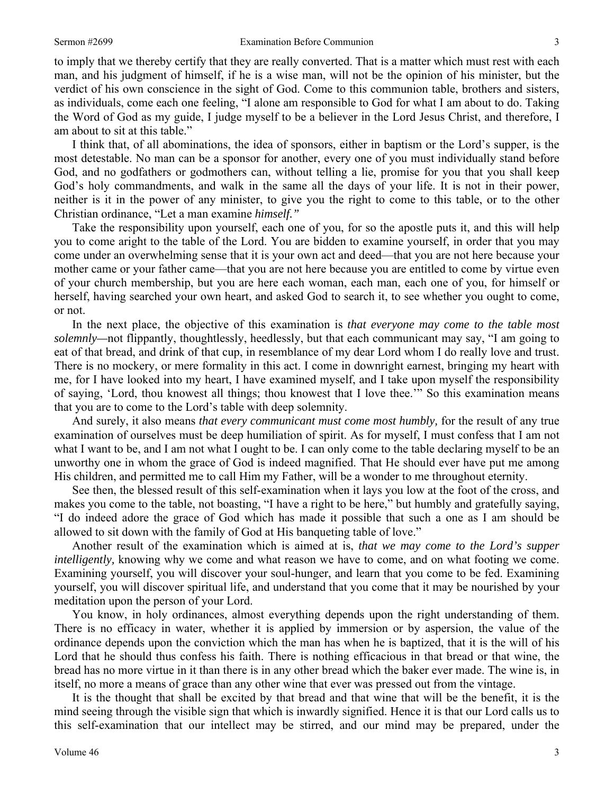am about to sit at this table."

#### Sermon #2699 Examination Before Communion 3

to imply that we thereby certify that they are really converted. That is a matter which must rest with each man, and his judgment of himself, if he is a wise man, will not be the opinion of his minister, but the verdict of his own conscience in the sight of God. Come to this communion table, brothers and sisters, as individuals, come each one feeling, "I alone am responsible to God for what I am about to do. Taking the Word of God as my guide, I judge myself to be a believer in the Lord Jesus Christ, and therefore, I

I think that, of all abominations, the idea of sponsors, either in baptism or the Lord's supper, is the most detestable. No man can be a sponsor for another, every one of you must individually stand before God, and no godfathers or godmothers can, without telling a lie, promise for you that you shall keep God's holy commandments, and walk in the same all the days of your life. It is not in their power, neither is it in the power of any minister, to give you the right to come to this table, or to the other Christian ordinance, "Let a man examine *himself."*

Take the responsibility upon yourself, each one of you, for so the apostle puts it, and this will help you to come aright to the table of the Lord. You are bidden to examine yourself, in order that you may come under an overwhelming sense that it is your own act and deed—that you are not here because your mother came or your father came—that you are not here because you are entitled to come by virtue even of your church membership, but you are here each woman, each man, each one of you, for himself or herself, having searched your own heart, and asked God to search it, to see whether you ought to come, or not.

In the next place, the objective of this examination is *that everyone may come to the table most solemnly—*not flippantly, thoughtlessly, heedlessly, but that each communicant may say, "I am going to eat of that bread, and drink of that cup, in resemblance of my dear Lord whom I do really love and trust. There is no mockery, or mere formality in this act. I come in downright earnest, bringing my heart with me, for I have looked into my heart, I have examined myself, and I take upon myself the responsibility of saying, 'Lord, thou knowest all things; thou knowest that I love thee.'" So this examination means that you are to come to the Lord's table with deep solemnity.

And surely, it also means *that every communicant must come most humbly,* for the result of any true examination of ourselves must be deep humiliation of spirit. As for myself, I must confess that I am not what I want to be, and I am not what I ought to be. I can only come to the table declaring myself to be an unworthy one in whom the grace of God is indeed magnified. That He should ever have put me among His children, and permitted me to call Him my Father, will be a wonder to me throughout eternity.

See then, the blessed result of this self-examination when it lays you low at the foot of the cross, and makes you come to the table, not boasting, "I have a right to be here," but humbly and gratefully saying, "I do indeed adore the grace of God which has made it possible that such a one as I am should be allowed to sit down with the family of God at His banqueting table of love."

Another result of the examination which is aimed at is, *that we may come to the Lord's supper intelligently*, knowing why we come and what reason we have to come, and on what footing we come. Examining yourself, you will discover your soul-hunger, and learn that you come to be fed. Examining yourself, you will discover spiritual life, and understand that you come that it may be nourished by your meditation upon the person of your Lord.

You know, in holy ordinances, almost everything depends upon the right understanding of them. There is no efficacy in water, whether it is applied by immersion or by aspersion, the value of the ordinance depends upon the conviction which the man has when he is baptized, that it is the will of his Lord that he should thus confess his faith. There is nothing efficacious in that bread or that wine, the bread has no more virtue in it than there is in any other bread which the baker ever made. The wine is, in itself, no more a means of grace than any other wine that ever was pressed out from the vintage.

It is the thought that shall be excited by that bread and that wine that will be the benefit, it is the mind seeing through the visible sign that which is inwardly signified. Hence it is that our Lord calls us to this self-examination that our intellect may be stirred, and our mind may be prepared, under the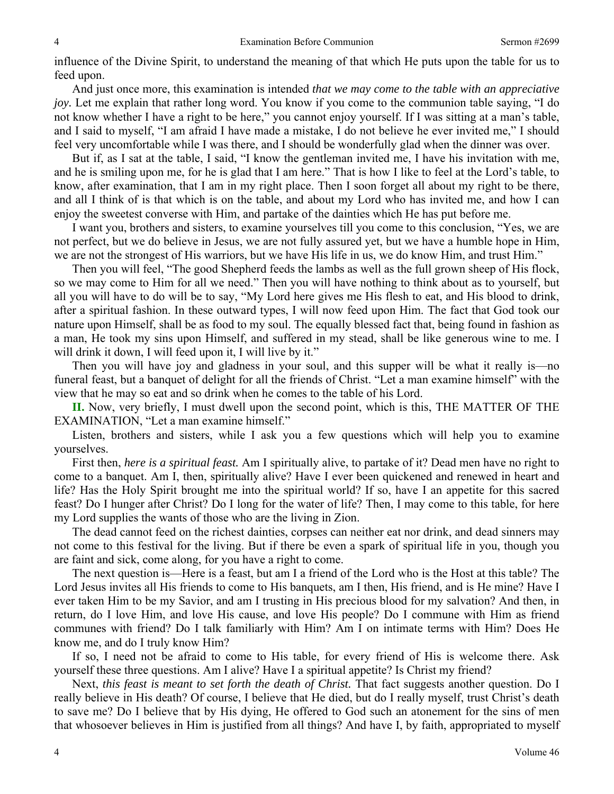influence of the Divine Spirit, to understand the meaning of that which He puts upon the table for us to feed upon.

And just once more, this examination is intended *that we may come to the table with an appreciative joy.* Let me explain that rather long word. You know if you come to the communion table saying, "I do not know whether I have a right to be here," you cannot enjoy yourself. If I was sitting at a man's table, and I said to myself, "I am afraid I have made a mistake, I do not believe he ever invited me," I should feel very uncomfortable while I was there, and I should be wonderfully glad when the dinner was over.

But if, as I sat at the table, I said, "I know the gentleman invited me, I have his invitation with me, and he is smiling upon me, for he is glad that I am here." That is how I like to feel at the Lord's table, to know, after examination, that I am in my right place. Then I soon forget all about my right to be there, and all I think of is that which is on the table, and about my Lord who has invited me, and how I can enjoy the sweetest converse with Him, and partake of the dainties which He has put before me.

I want you, brothers and sisters, to examine yourselves till you come to this conclusion, "Yes, we are not perfect, but we do believe in Jesus, we are not fully assured yet, but we have a humble hope in Him, we are not the strongest of His warriors, but we have His life in us, we do know Him, and trust Him."

Then you will feel, "The good Shepherd feeds the lambs as well as the full grown sheep of His flock, so we may come to Him for all we need." Then you will have nothing to think about as to yourself, but all you will have to do will be to say, "My Lord here gives me His flesh to eat, and His blood to drink, after a spiritual fashion. In these outward types, I will now feed upon Him. The fact that God took our nature upon Himself, shall be as food to my soul. The equally blessed fact that, being found in fashion as a man, He took my sins upon Himself, and suffered in my stead, shall be like generous wine to me. I will drink it down, I will feed upon it, I will live by it."

Then you will have joy and gladness in your soul, and this supper will be what it really is—no funeral feast, but a banquet of delight for all the friends of Christ. "Let a man examine himself" with the view that he may so eat and so drink when he comes to the table of his Lord.

**II.** Now, very briefly, I must dwell upon the second point, which is this, THE MATTER OF THE EXAMINATION, "Let a man examine himself."

Listen, brothers and sisters, while I ask you a few questions which will help you to examine yourselves.

First then, *here is a spiritual feast.* Am I spiritually alive, to partake of it? Dead men have no right to come to a banquet. Am I, then, spiritually alive? Have I ever been quickened and renewed in heart and life? Has the Holy Spirit brought me into the spiritual world? If so, have I an appetite for this sacred feast? Do I hunger after Christ? Do I long for the water of life? Then, I may come to this table, for here my Lord supplies the wants of those who are the living in Zion.

The dead cannot feed on the richest dainties, corpses can neither eat nor drink, and dead sinners may not come to this festival for the living. But if there be even a spark of spiritual life in you, though you are faint and sick, come along, for you have a right to come.

The next question is—Here is a feast, but am I a friend of the Lord who is the Host at this table? The Lord Jesus invites all His friends to come to His banquets, am I then, His friend, and is He mine? Have I ever taken Him to be my Savior, and am I trusting in His precious blood for my salvation? And then, in return, do I love Him, and love His cause, and love His people? Do I commune with Him as friend communes with friend? Do I talk familiarly with Him? Am I on intimate terms with Him? Does He know me, and do I truly know Him?

If so, I need not be afraid to come to His table, for every friend of His is welcome there. Ask yourself these three questions. Am I alive? Have I a spiritual appetite? Is Christ my friend?

Next, *this feast is meant to set forth the death of Christ*. That fact suggests another question. Do I really believe in His death? Of course, I believe that He died, but do I really myself, trust Christ's death to save me? Do I believe that by His dying, He offered to God such an atonement for the sins of men that whosoever believes in Him is justified from all things? And have I, by faith, appropriated to myself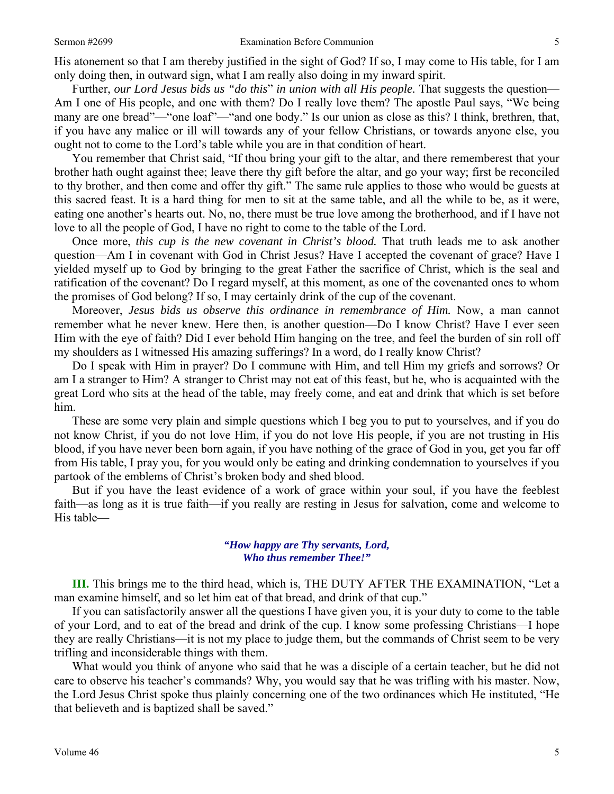His atonement so that I am thereby justified in the sight of God? If so, I may come to His table, for I am only doing then, in outward sign, what I am really also doing in my inward spirit.

Further, *our Lord Jesus bids us "do this*" *in union with all His people.* That suggests the question— Am I one of His people, and one with them? Do I really love them? The apostle Paul says, "We being many are one bread"—"one loaf"—"and one body." Is our union as close as this? I think, brethren, that, if you have any malice or ill will towards any of your fellow Christians, or towards anyone else, you ought not to come to the Lord's table while you are in that condition of heart.

You remember that Christ said, "If thou bring your gift to the altar, and there rememberest that your brother hath ought against thee; leave there thy gift before the altar, and go your way; first be reconciled to thy brother, and then come and offer thy gift." The same rule applies to those who would be guests at this sacred feast. It is a hard thing for men to sit at the same table, and all the while to be, as it were, eating one another's hearts out. No, no, there must be true love among the brotherhood, and if I have not love to all the people of God, I have no right to come to the table of the Lord.

Once more, *this cup is the new covenant in Christ's blood.* That truth leads me to ask another question—Am I in covenant with God in Christ Jesus? Have I accepted the covenant of grace? Have I yielded myself up to God by bringing to the great Father the sacrifice of Christ, which is the seal and ratification of the covenant? Do I regard myself, at this moment, as one of the covenanted ones to whom the promises of God belong? If so, I may certainly drink of the cup of the covenant.

Moreover, *Jesus bids us observe this ordinance in remembrance of Him.* Now, a man cannot remember what he never knew. Here then, is another question—Do I know Christ? Have I ever seen Him with the eye of faith? Did I ever behold Him hanging on the tree, and feel the burden of sin roll off my shoulders as I witnessed His amazing sufferings? In a word, do I really know Christ?

Do I speak with Him in prayer? Do I commune with Him, and tell Him my griefs and sorrows? Or am I a stranger to Him? A stranger to Christ may not eat of this feast, but he, who is acquainted with the great Lord who sits at the head of the table, may freely come, and eat and drink that which is set before him.

These are some very plain and simple questions which I beg you to put to yourselves, and if you do not know Christ, if you do not love Him, if you do not love His people, if you are not trusting in His blood, if you have never been born again, if you have nothing of the grace of God in you, get you far off from His table, I pray you, for you would only be eating and drinking condemnation to yourselves if you partook of the emblems of Christ's broken body and shed blood.

But if you have the least evidence of a work of grace within your soul, if you have the feeblest faith—as long as it is true faith—if you really are resting in Jesus for salvation, come and welcome to His table—

#### *"How happy are Thy servants, Lord, Who thus remember Thee!"*

**III.** This brings me to the third head, which is, THE DUTY AFTER THE EXAMINATION, "Let a man examine himself, and so let him eat of that bread, and drink of that cup."

If you can satisfactorily answer all the questions I have given you, it is your duty to come to the table of your Lord, and to eat of the bread and drink of the cup. I know some professing Christians—I hope they are really Christians—it is not my place to judge them, but the commands of Christ seem to be very trifling and inconsiderable things with them.

What would you think of anyone who said that he was a disciple of a certain teacher, but he did not care to observe his teacher's commands? Why, you would say that he was trifling with his master. Now, the Lord Jesus Christ spoke thus plainly concerning one of the two ordinances which He instituted, "He that believeth and is baptized shall be saved."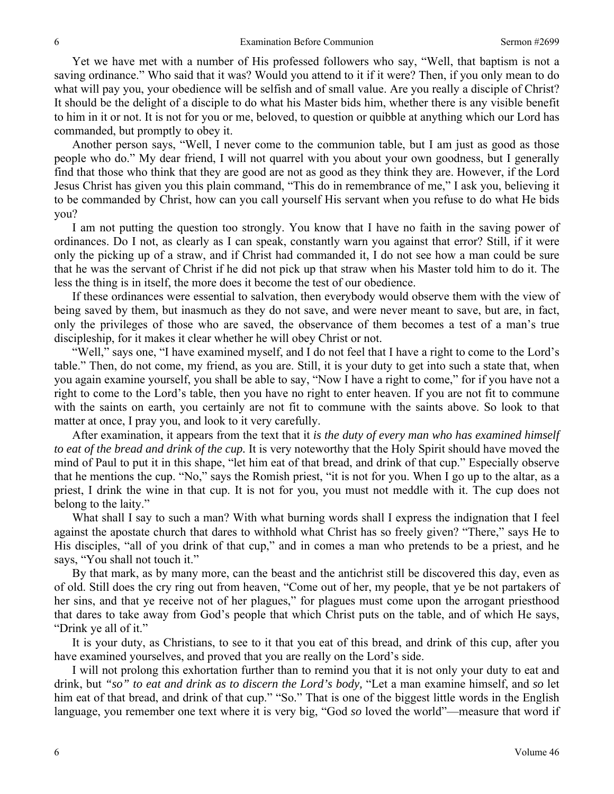Yet we have met with a number of His professed followers who say, "Well, that baptism is not a saving ordinance." Who said that it was? Would you attend to it if it were? Then, if you only mean to do what will pay you, your obedience will be selfish and of small value. Are you really a disciple of Christ? It should be the delight of a disciple to do what his Master bids him, whether there is any visible benefit to him in it or not. It is not for you or me, beloved, to question or quibble at anything which our Lord has commanded, but promptly to obey it.

Another person says, "Well, I never come to the communion table, but I am just as good as those people who do." My dear friend, I will not quarrel with you about your own goodness, but I generally find that those who think that they are good are not as good as they think they are. However, if the Lord Jesus Christ has given you this plain command, "This do in remembrance of me," I ask you, believing it to be commanded by Christ, how can you call yourself His servant when you refuse to do what He bids you?

I am not putting the question too strongly. You know that I have no faith in the saving power of ordinances. Do I not, as clearly as I can speak, constantly warn you against that error? Still, if it were only the picking up of a straw, and if Christ had commanded it, I do not see how a man could be sure that he was the servant of Christ if he did not pick up that straw when his Master told him to do it. The less the thing is in itself, the more does it become the test of our obedience.

If these ordinances were essential to salvation, then everybody would observe them with the view of being saved by them, but inasmuch as they do not save, and were never meant to save, but are, in fact, only the privileges of those who are saved, the observance of them becomes a test of a man's true discipleship, for it makes it clear whether he will obey Christ or not.

"Well," says one, "I have examined myself, and I do not feel that I have a right to come to the Lord's table." Then, do not come, my friend, as you are. Still, it is your duty to get into such a state that, when you again examine yourself, you shall be able to say, "Now I have a right to come," for if you have not a right to come to the Lord's table, then you have no right to enter heaven. If you are not fit to commune with the saints on earth, you certainly are not fit to commune with the saints above. So look to that matter at once, I pray you, and look to it very carefully.

After examination, it appears from the text that it *is the duty of every man who has examined himself to eat of the bread and drink of the cup.* It is very noteworthy that the Holy Spirit should have moved the mind of Paul to put it in this shape, "let him eat of that bread, and drink of that cup." Especially observe that he mentions the cup. "No," says the Romish priest, "it is not for you. When I go up to the altar, as a priest, I drink the wine in that cup. It is not for you, you must not meddle with it. The cup does not belong to the laity."

What shall I say to such a man? With what burning words shall I express the indignation that I feel against the apostate church that dares to withhold what Christ has so freely given? "There," says He to His disciples, "all of you drink of that cup," and in comes a man who pretends to be a priest, and he says, "You shall not touch it."

By that mark, as by many more, can the beast and the antichrist still be discovered this day, even as of old. Still does the cry ring out from heaven, "Come out of her, my people, that ye be not partakers of her sins, and that ye receive not of her plagues," for plagues must come upon the arrogant priesthood that dares to take away from God's people that which Christ puts on the table, and of which He says, "Drink ye all of it."

It is your duty, as Christians, to see to it that you eat of this bread, and drink of this cup, after you have examined yourselves, and proved that you are really on the Lord's side.

I will not prolong this exhortation further than to remind you that it is not only your duty to eat and drink, but *"so" to eat and drink as to discern the Lord's body,* "Let a man examine himself, and *so* let him eat of that bread, and drink of that cup." "So." That is one of the biggest little words in the English language, you remember one text where it is very big, "God *so* loved the world"—measure that word if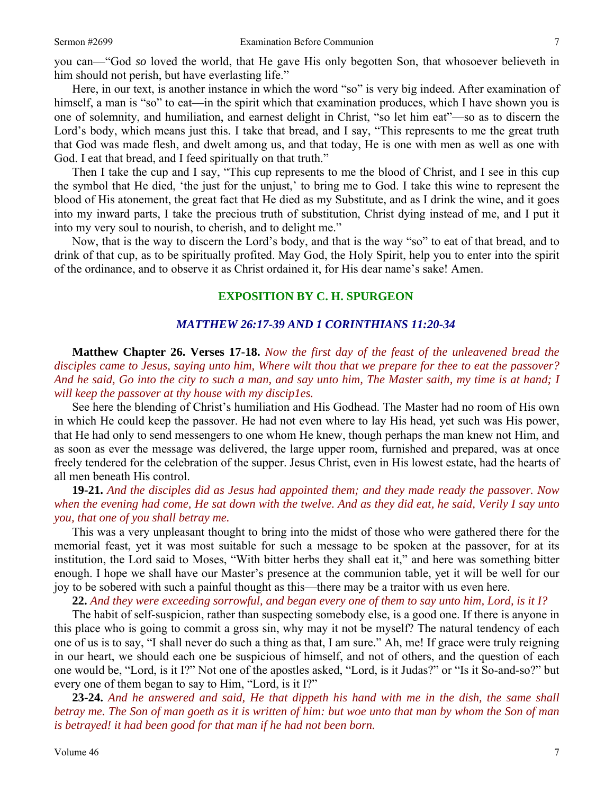you can—"God *so* loved the world, that He gave His only begotten Son, that whosoever believeth in him should not perish, but have everlasting life."

Here, in our text, is another instance in which the word "so" is very big indeed. After examination of himself, a man is "so" to eat—in the spirit which that examination produces, which I have shown you is one of solemnity, and humiliation, and earnest delight in Christ, "so let him eat"—so as to discern the Lord's body, which means just this. I take that bread, and I say, "This represents to me the great truth that God was made flesh, and dwelt among us, and that today, He is one with men as well as one with God. I eat that bread, and I feed spiritually on that truth."

Then I take the cup and I say, "This cup represents to me the blood of Christ, and I see in this cup the symbol that He died, 'the just for the unjust,' to bring me to God. I take this wine to represent the blood of His atonement, the great fact that He died as my Substitute, and as I drink the wine, and it goes into my inward parts, I take the precious truth of substitution, Christ dying instead of me, and I put it into my very soul to nourish, to cherish, and to delight me."

Now, that is the way to discern the Lord's body, and that is the way "so" to eat of that bread, and to drink of that cup, as to be spiritually profited. May God, the Holy Spirit, help you to enter into the spirit of the ordinance, and to observe it as Christ ordained it, for His dear name's sake! Amen.

## **EXPOSITION BY C. H. SPURGEON**

### *MATTHEW 26:17-39 AND 1 CORINTHIANS 11:20-34*

**Matthew Chapter 26. Verses 17-18.** *Now the first day of the feast of the unleavened bread the disciples came to Jesus, saying unto him, Where wilt thou that we prepare for thee to eat the passover? And he said, Go into the city to such a man, and say unto him, The Master saith, my time is at hand; I will keep the passover at thy house with my discip1es.* 

See here the blending of Christ's humiliation and His Godhead. The Master had no room of His own in which He could keep the passover. He had not even where to lay His head, yet such was His power, that He had only to send messengers to one whom He knew, though perhaps the man knew not Him, and as soon as ever the message was delivered, the large upper room, furnished and prepared, was at once freely tendered for the celebration of the supper. Jesus Christ, even in His lowest estate, had the hearts of all men beneath His control.

**19-21.** *And the disciples did as Jesus had appointed them; and they made ready the passover. Now when the evening had come, He sat down with the twelve. And as they did eat, he said, Verily I say unto you, that one of you shall betray me.* 

This was a very unpleasant thought to bring into the midst of those who were gathered there for the memorial feast, yet it was most suitable for such a message to be spoken at the passover, for at its institution, the Lord said to Moses, "With bitter herbs they shall eat it," and here was something bitter enough. I hope we shall have our Master's presence at the communion table, yet it will be well for our joy to be sobered with such a painful thought as this—there may be a traitor with us even here.

**22.** *And they were exceeding sorrowful, and began every one of them to say unto him, Lord, is it I?* 

The habit of self-suspicion, rather than suspecting somebody else, is a good one. If there is anyone in this place who is going to commit a gross sin, why may it not be myself? The natural tendency of each one of us is to say, "I shall never do such a thing as that, I am sure." Ah, me! If grace were truly reigning in our heart, we should each one be suspicious of himself, and not of others, and the question of each one would be, "Lord, is it I?" Not one of the apostles asked, "Lord, is it Judas?" or "Is it So-and-so?" but every one of them began to say to Him, "Lord, is it I?"

**23-24.** *And he answered and said, He that dippeth his hand with me in the dish, the same shall betray me. The Son of man goeth as it is written of him: but woe unto that man by whom the Son of man is betrayed! it had been good for that man if he had not been born.*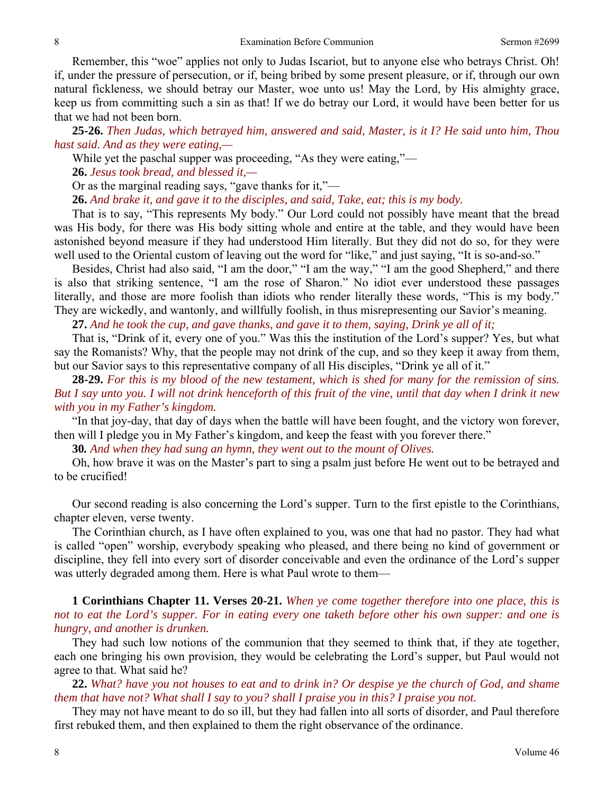Remember, this "woe" applies not only to Judas Iscariot, but to anyone else who betrays Christ. Oh! if, under the pressure of persecution, or if, being bribed by some present pleasure, or if, through our own natural fickleness, we should betray our Master, woe unto us! May the Lord, by His almighty grace, keep us from committing such a sin as that! If we do betray our Lord, it would have been better for us that we had not been born.

**25-26.** *Then Judas, which betrayed him, answered and said, Master, is it I? He said unto him, Thou hast said. And as they were eating,—* 

While yet the paschal supper was proceeding, "As they were eating,"—

**26.** *Jesus took bread, and blessed it,—* 

Or as the marginal reading says, "gave thanks for it,"—

**26.** *And brake it, and gave it to the disciples, and said, Take, eat; this is my body.* 

That is to say, "This represents My body." Our Lord could not possibly have meant that the bread was His body, for there was His body sitting whole and entire at the table, and they would have been astonished beyond measure if they had understood Him literally. But they did not do so, for they were well used to the Oriental custom of leaving out the word for "like," and just saying, "It is so-and-so."

Besides, Christ had also said, "I am the door," "I am the way," "I am the good Shepherd," and there is also that striking sentence, "I am the rose of Sharon." No idiot ever understood these passages literally, and those are more foolish than idiots who render literally these words, "This is my body." They are wickedly, and wantonly, and willfully foolish, in thus misrepresenting our Savior's meaning.

**27.** *And he took the cup, and gave thanks, and gave it to them, saying, Drink ye all of it;* 

That is, "Drink of it, every one of you." Was this the institution of the Lord's supper? Yes, but what say the Romanists? Why, that the people may not drink of the cup, and so they keep it away from them, but our Savior says to this representative company of all His disciples, "Drink ye all of it."

**28-29.** *For this is my blood of the new testament, which is shed for many for the remission of sins. But I say unto you. I will not drink henceforth of this fruit of the vine, until that day when I drink it new with you in my Father's kingdom.* 

"In that joy-day, that day of days when the battle will have been fought, and the victory won forever, then will I pledge you in My Father's kingdom, and keep the feast with you forever there."

**30***. And when they had sung an hymn, they went out to the mount of Olives.* 

Oh, how brave it was on the Master's part to sing a psalm just before He went out to be betrayed and to be crucified!

Our second reading is also concerning the Lord's supper. Turn to the first epistle to the Corinthians, chapter eleven, verse twenty.

The Corinthian church, as I have often explained to you, was one that had no pastor. They had what is called "open" worship, everybody speaking who pleased, and there being no kind of government or discipline, they fell into every sort of disorder conceivable and even the ordinance of the Lord's supper was utterly degraded among them. Here is what Paul wrote to them—

**1 Corinthians Chapter 11. Verses 20-21.** *When ye come together therefore into one place, this is not to eat the Lord's supper. For in eating every one taketh before other his own supper: and one is hungry, and another is drunken.* 

They had such low notions of the communion that they seemed to think that, if they ate together, each one bringing his own provision, they would be celebrating the Lord's supper, but Paul would not agree to that. What said he?

**22.** *What? have you not houses to eat and to drink in? Or despise ye the church of God, and shame them that have not? What shall I say to you? shall I praise you in this? I praise you not.* 

They may not have meant to do so ill, but they had fallen into all sorts of disorder, and Paul therefore first rebuked them, and then explained to them the right observance of the ordinance.